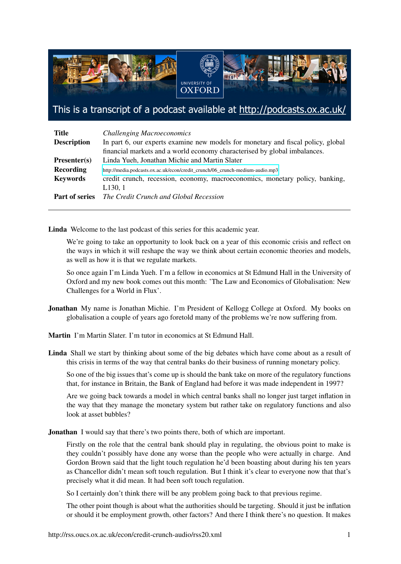

This is a transcript of a podcast available at http://podcasts.ox.ac.uk/

| <b>Title</b>          | <b>Challenging Macroeconomics</b>                                                |
|-----------------------|----------------------------------------------------------------------------------|
| <b>Description</b>    | In part 6, our experts examine new models for monetary and fiscal policy, global |
|                       | financial markets and a world economy characterised by global imbalances.        |
| Presenter(s)          | Linda Yueh, Jonathan Michie and Martin Slater                                    |
| Recording             | http://media.podcasts.ox.ac.uk/econ/credit_crunch/06_crunch-medium-audio.mp3     |
| <b>Keywords</b>       | credit crunch, recession, economy, macroeconomics, monetary policy, banking,     |
|                       | L130, 1                                                                          |
| <b>Part of series</b> | The Credit Crunch and Global Recession                                           |

Linda Welcome to the last podcast of this series for this academic year.

We're going to take an opportunity to look back on a year of this economic crisis and reflect on the ways in which it will reshape the way we think about certain economic theories and models, as well as how it is that we regulate markets.

So once again I'm Linda Yueh. I'm a fellow in economics at St Edmund Hall in the University of Oxford and my new book comes out this month: 'The Law and Economics of Globalisation: New Challenges for a World in Flux'.

Jonathan My name is Jonathan Michie. I'm President of Kellogg College at Oxford. My books on globalisation a couple of years ago foretold many of the problems we're now suffering from.

Martin I'm Martin Slater. I'm tutor in economics at St Edmund Hall.

Linda Shall we start by thinking about some of the big debates which have come about as a result of this crisis in terms of the way that central banks do their business of running monetary policy.

So one of the big issues that's come up is should the bank take on more of the regulatory functions that, for instance in Britain, the Bank of England had before it was made independent in 1997?

Are we going back towards a model in which central banks shall no longer just target inflation in the way that they manage the monetary system but rather take on regulatory functions and also look at asset bubbles?

**Jonathan** I would say that there's two points there, both of which are important.

Firstly on the role that the central bank should play in regulating, the obvious point to make is they couldn't possibly have done any worse than the people who were actually in charge. And Gordon Brown said that the light touch regulation he'd been boasting about during his ten years as Chancellor didn't mean soft touch regulation. But I think it's clear to everyone now that that's precisely what it did mean. It had been soft touch regulation.

So I certainly don't think there will be any problem going back to that previous regime.

The other point though is about what the authorities should be targeting. Should it just be inflation or should it be employment growth, other factors? And there I think there's no question. It makes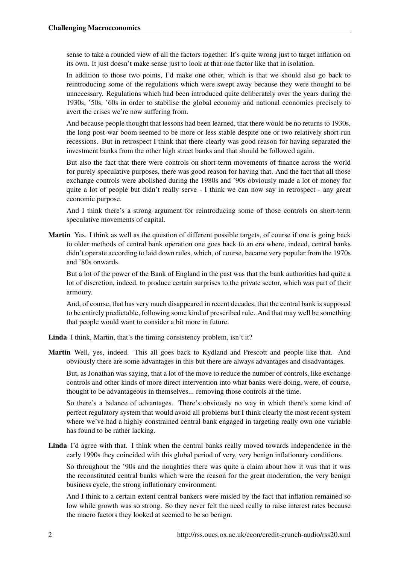sense to take a rounded view of all the factors together. It's quite wrong just to target inflation on its own. It just doesn't make sense just to look at that one factor like that in isolation.

In addition to those two points, I'd make one other, which is that we should also go back to reintroducing some of the regulations which were swept away because they were thought to be unnecessary. Regulations which had been introduced quite deliberately over the years during the 1930s, '50s, '60s in order to stabilise the global economy and national economies precisely to avert the crises we're now suffering from.

And because people thought that lessons had been learned, that there would be no returns to 1930s, the long post-war boom seemed to be more or less stable despite one or two relatively short-run recessions. But in retrospect I think that there clearly was good reason for having separated the investment banks from the other high street banks and that should be followed again.

But also the fact that there were controls on short-term movements of finance across the world for purely speculative purposes, there was good reason for having that. And the fact that all those exchange controls were abolished during the 1980s and '90s obviously made a lot of money for quite a lot of people but didn't really serve - I think we can now say in retrospect - any great economic purpose.

And I think there's a strong argument for reintroducing some of those controls on short-term speculative movements of capital.

Martin Yes. I think as well as the question of different possible targets, of course if one is going back to older methods of central bank operation one goes back to an era where, indeed, central banks didn't operate according to laid down rules, which, of course, became very popular from the 1970s and '80s onwards.

But a lot of the power of the Bank of England in the past was that the bank authorities had quite a lot of discretion, indeed, to produce certain surprises to the private sector, which was part of their armoury.

And, of course, that has very much disappeared in recent decades, that the central bank is supposed to be entirely predictable, following some kind of prescribed rule. And that may well be something that people would want to consider a bit more in future.

Linda I think, Martin, that's the timing consistency problem, isn't it?

Martin Well, yes, indeed. This all goes back to Kydland and Prescott and people like that. And obviously there are some advantages in this but there are always advantages and disadvantages.

But, as Jonathan was saying, that a lot of the move to reduce the number of controls, like exchange controls and other kinds of more direct intervention into what banks were doing, were, of course, thought to be advantageous in themselves... removing those controls at the time.

So there's a balance of advantages. There's obviously no way in which there's some kind of perfect regulatory system that would avoid all problems but I think clearly the most recent system where we've had a highly constrained central bank engaged in targeting really own one variable has found to be rather lacking.

Linda I'd agree with that. I think when the central banks really moved towards independence in the early 1990s they coincided with this global period of very, very benign inflationary conditions.

So throughout the '90s and the noughties there was quite a claim about how it was that it was the reconstituted central banks which were the reason for the great moderation, the very benign business cycle, the strong inflationary environment.

And I think to a certain extent central bankers were misled by the fact that inflation remained so low while growth was so strong. So they never felt the need really to raise interest rates because the macro factors they looked at seemed to be so benign.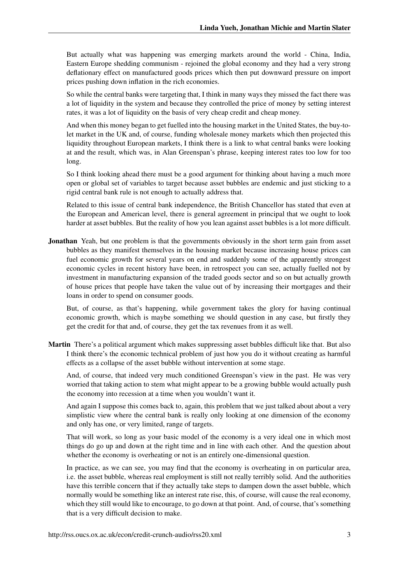But actually what was happening was emerging markets around the world - China, India, Eastern Europe shedding communism - rejoined the global economy and they had a very strong deflationary effect on manufactured goods prices which then put downward pressure on import prices pushing down inflation in the rich economies.

So while the central banks were targeting that, I think in many ways they missed the fact there was a lot of liquidity in the system and because they controlled the price of money by setting interest rates, it was a lot of liquidity on the basis of very cheap credit and cheap money.

And when this money began to get fuelled into the housing market in the United States, the buy-tolet market in the UK and, of course, funding wholesale money markets which then projected this liquidity throughout European markets, I think there is a link to what central banks were looking at and the result, which was, in Alan Greenspan's phrase, keeping interest rates too low for too long.

So I think looking ahead there must be a good argument for thinking about having a much more open or global set of variables to target because asset bubbles are endemic and just sticking to a rigid central bank rule is not enough to actually address that.

Related to this issue of central bank independence, the British Chancellor has stated that even at the European and American level, there is general agreement in principal that we ought to look harder at asset bubbles. But the reality of how you lean against asset bubbles is a lot more difficult.

Jonathan Yeah, but one problem is that the governments obviously in the short term gain from asset bubbles as they manifest themselves in the housing market because increasing house prices can fuel economic growth for several years on end and suddenly some of the apparently strongest economic cycles in recent history have been, in retrospect you can see, actually fuelled not by investment in manufacturing expansion of the traded goods sector and so on but actually growth of house prices that people have taken the value out of by increasing their mortgages and their loans in order to spend on consumer goods.

But, of course, as that's happening, while government takes the glory for having continual economic growth, which is maybe something we should question in any case, but firstly they get the credit for that and, of course, they get the tax revenues from it as well.

Martin There's a political argument which makes suppressing asset bubbles difficult like that. But also I think there's the economic technical problem of just how you do it without creating as harmful effects as a collapse of the asset bubble without intervention at some stage.

And, of course, that indeed very much conditioned Greenspan's view in the past. He was very worried that taking action to stem what might appear to be a growing bubble would actually push the economy into recession at a time when you wouldn't want it.

And again I suppose this comes back to, again, this problem that we just talked about about a very simplistic view where the central bank is really only looking at one dimension of the economy and only has one, or very limited, range of targets.

That will work, so long as your basic model of the economy is a very ideal one in which most things do go up and down at the right time and in line with each other. And the question about whether the economy is overheating or not is an entirely one-dimensional question.

In practice, as we can see, you may find that the economy is overheating in on particular area, i.e. the asset bubble, whereas real employment is still not really terribly solid. And the authorities have this terrible concern that if they actually take steps to dampen down the asset bubble, which normally would be something like an interest rate rise, this, of course, will cause the real economy, which they still would like to encourage, to go down at that point. And, of course, that's something that is a very difficult decision to make.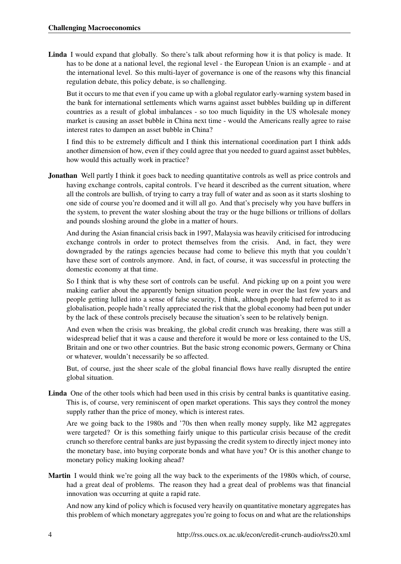Linda I would expand that globally. So there's talk about reforming how it is that policy is made. It has to be done at a national level, the regional level - the European Union is an example - and at the international level. So this multi-layer of governance is one of the reasons why this financial regulation debate, this policy debate, is so challenging.

But it occurs to me that even if you came up with a global regulator early-warning system based in the bank for international settlements which warns against asset bubbles building up in different countries as a result of global imbalances - so too much liquidity in the US wholesale money market is causing an asset bubble in China next time - would the Americans really agree to raise interest rates to dampen an asset bubble in China?

I find this to be extremely difficult and I think this international coordination part I think adds another dimension of how, even if they could agree that you needed to guard against asset bubbles, how would this actually work in practice?

**Jonathan** Well partly I think it goes back to needing quantitative controls as well as price controls and having exchange controls, capital controls. I've heard it described as the current situation, where all the controls are bullish, of trying to carry a tray full of water and as soon as it starts sloshing to one side of course you're doomed and it will all go. And that's precisely why you have buffers in the system, to prevent the water sloshing about the tray or the huge billions or trillions of dollars and pounds sloshing around the globe in a matter of hours.

And during the Asian financial crisis back in 1997, Malaysia was heavily criticised for introducing exchange controls in order to protect themselves from the crisis. And, in fact, they were downgraded by the ratings agencies because had come to believe this myth that you couldn't have these sort of controls anymore. And, in fact, of course, it was successful in protecting the domestic economy at that time.

So I think that is why these sort of controls can be useful. And picking up on a point you were making earlier about the apparently benign situation people were in over the last few years and people getting lulled into a sense of false security, I think, although people had referred to it as globalisation, people hadn't really appreciated the risk that the global economy had been put under by the lack of these controls precisely because the situation's seen to be relatively benign.

And even when the crisis was breaking, the global credit crunch was breaking, there was still a widespread belief that it was a cause and therefore it would be more or less contained to the US, Britain and one or two other countries. But the basic strong economic powers, Germany or China or whatever, wouldn't necessarily be so affected.

But, of course, just the sheer scale of the global financial flows have really disrupted the entire global situation.

Linda One of the other tools which had been used in this crisis by central banks is quantitative easing. This is, of course, very reminiscent of open market operations. This says they control the money supply rather than the price of money, which is interest rates.

Are we going back to the 1980s and '70s then when really money supply, like M2 aggregates were targeted? Or is this something fairly unique to this particular crisis because of the credit crunch so therefore central banks are just bypassing the credit system to directly inject money into the monetary base, into buying corporate bonds and what have you? Or is this another change to monetary policy making looking ahead?

Martin I would think we're going all the way back to the experiments of the 1980s which, of course, had a great deal of problems. The reason they had a great deal of problems was that financial innovation was occurring at quite a rapid rate.

And now any kind of policy which is focused very heavily on quantitative monetary aggregates has this problem of which monetary aggregates you're going to focus on and what are the relationships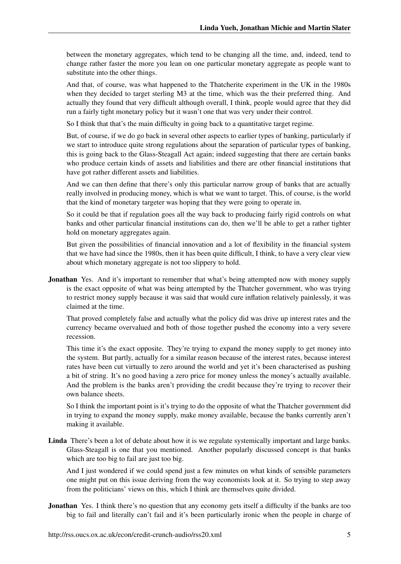between the monetary aggregates, which tend to be changing all the time, and, indeed, tend to change rather faster the more you lean on one particular monetary aggregate as people want to substitute into the other things.

And that, of course, was what happened to the Thatcherite experiment in the UK in the 1980s when they decided to target sterling M3 at the time, which was the their preferred thing. And actually they found that very difficult although overall, I think, people would agree that they did run a fairly tight monetary policy but it wasn't one that was very under their control.

So I think that that's the main difficulty in going back to a quantitative target regime.

But, of course, if we do go back in several other aspects to earlier types of banking, particularly if we start to introduce quite strong regulations about the separation of particular types of banking, this is going back to the Glass-Steagall Act again; indeed suggesting that there are certain banks who produce certain kinds of assets and liabilities and there are other financial institutions that have got rather different assets and liabilities.

And we can then define that there's only this particular narrow group of banks that are actually really involved in producing money, which is what we want to target. This, of course, is the world that the kind of monetary targeter was hoping that they were going to operate in.

So it could be that if regulation goes all the way back to producing fairly rigid controls on what banks and other particular financial institutions can do, then we'll be able to get a rather tighter hold on monetary aggregates again.

But given the possibilities of financial innovation and a lot of flexibility in the financial system that we have had since the 1980s, then it has been quite difficult, I think, to have a very clear view about which monetary aggregate is not too slippery to hold.

Jonathan Yes. And it's important to remember that what's being attempted now with money supply is the exact opposite of what was being attempted by the Thatcher government, who was trying to restrict money supply because it was said that would cure inflation relatively painlessly, it was claimed at the time.

That proved completely false and actually what the policy did was drive up interest rates and the currency became overvalued and both of those together pushed the economy into a very severe recession.

This time it's the exact opposite. They're trying to expand the money supply to get money into the system. But partly, actually for a similar reason because of the interest rates, because interest rates have been cut virtually to zero around the world and yet it's been characterised as pushing a bit of string. It's no good having a zero price for money unless the money's actually available. And the problem is the banks aren't providing the credit because they're trying to recover their own balance sheets.

So I think the important point is it's trying to do the opposite of what the Thatcher government did in trying to expand the money supply, make money available, because the banks currently aren't making it available.

Linda There's been a lot of debate about how it is we regulate systemically important and large banks. Glass-Steagall is one that you mentioned. Another popularly discussed concept is that banks which are too big to fail are just too big.

And I just wondered if we could spend just a few minutes on what kinds of sensible parameters one might put on this issue deriving from the way economists look at it. So trying to step away from the politicians' views on this, which I think are themselves quite divided.

Jonathan Yes. I think there's no question that any economy gets itself a difficulty if the banks are too big to fail and literally can't fail and it's been particularly ironic when the people in charge of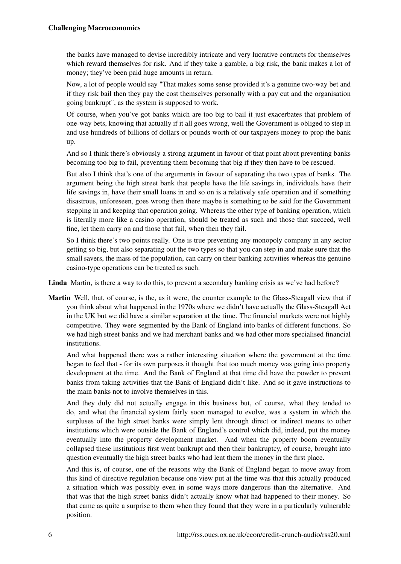the banks have managed to devise incredibly intricate and very lucrative contracts for themselves which reward themselves for risk. And if they take a gamble, a big risk, the bank makes a lot of money; they've been paid huge amounts in return.

Now, a lot of people would say "That makes some sense provided it's a genuine two-way bet and if they risk bail then they pay the cost themselves personally with a pay cut and the organisation going bankrupt", as the system is supposed to work.

Of course, when you've got banks which are too big to bail it just exacerbates that problem of one-way bets, knowing that actually if it all goes wrong, well the Government is obliged to step in and use hundreds of billions of dollars or pounds worth of our taxpayers money to prop the bank up.

And so I think there's obviously a strong argument in favour of that point about preventing banks becoming too big to fail, preventing them becoming that big if they then have to be rescued.

But also I think that's one of the arguments in favour of separating the two types of banks. The argument being the high street bank that people have the life savings in, individuals have their life savings in, have their small loans in and so on is a relatively safe operation and if something disastrous, unforeseen, goes wrong then there maybe is something to be said for the Government stepping in and keeping that operation going. Whereas the other type of banking operation, which is literally more like a casino operation, should be treated as such and those that succeed, well fine, let them carry on and those that fail, when then they fail.

So I think there's two points really. One is true preventing any monopoly company in any sector getting so big, but also separating out the two types so that you can step in and make sure that the small savers, the mass of the population, can carry on their banking activities whereas the genuine casino-type operations can be treated as such.

Linda Martin, is there a way to do this, to prevent a secondary banking crisis as we've had before?

Martin Well, that, of course, is the, as it were, the counter example to the Glass-Steagall view that if you think about what happened in the 1970s where we didn't have actually the Glass-Steagall Act in the UK but we did have a similar separation at the time. The financial markets were not highly competitive. They were segmented by the Bank of England into banks of different functions. So we had high street banks and we had merchant banks and we had other more specialised financial institutions.

And what happened there was a rather interesting situation where the government at the time began to feel that - for its own purposes it thought that too much money was going into property development at the time. And the Bank of England at that time did have the powder to prevent banks from taking activities that the Bank of England didn't like. And so it gave instructions to the main banks not to involve themselves in this.

And they duly did not actually engage in this business but, of course, what they tended to do, and what the financial system fairly soon managed to evolve, was a system in which the surpluses of the high street banks were simply lent through direct or indirect means to other institutions which were outside the Bank of England's control which did, indeed, put the money eventually into the property development market. And when the property boom eventually collapsed these institutions first went bankrupt and then their bankruptcy, of course, brought into question eventually the high street banks who had lent them the money in the first place.

And this is, of course, one of the reasons why the Bank of England began to move away from this kind of directive regulation because one view put at the time was that this actually produced a situation which was possibly even in some ways more dangerous than the alternative. And that was that the high street banks didn't actually know what had happened to their money. So that came as quite a surprise to them when they found that they were in a particularly vulnerable position.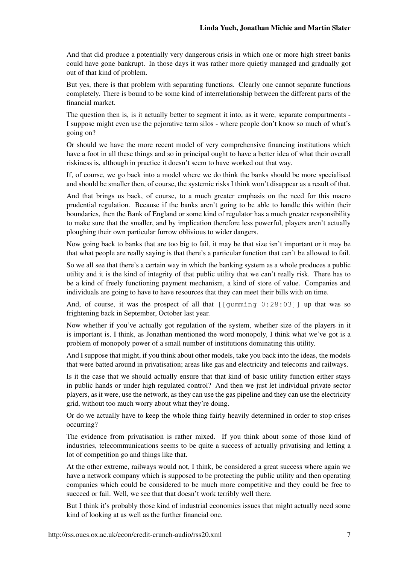And that did produce a potentially very dangerous crisis in which one or more high street banks could have gone bankrupt. In those days it was rather more quietly managed and gradually got out of that kind of problem.

But yes, there is that problem with separating functions. Clearly one cannot separate functions completely. There is bound to be some kind of interrelationship between the different parts of the financial market.

The question then is, is it actually better to segment it into, as it were, separate compartments - I suppose might even use the pejorative term silos - where people don't know so much of what's going on?

Or should we have the more recent model of very comprehensive financing institutions which have a foot in all these things and so in principal ought to have a better idea of what their overall riskiness is, although in practice it doesn't seem to have worked out that way.

If, of course, we go back into a model where we do think the banks should be more specialised and should be smaller then, of course, the systemic risks I think won't disappear as a result of that.

And that brings us back, of course, to a much greater emphasis on the need for this macro prudential regulation. Because if the banks aren't going to be able to handle this within their boundaries, then the Bank of England or some kind of regulator has a much greater responsibility to make sure that the smaller, and by implication therefore less powerful, players aren't actually ploughing their own particular furrow oblivious to wider dangers.

Now going back to banks that are too big to fail, it may be that size isn't important or it may be that what people are really saying is that there's a particular function that can't be allowed to fail.

So we all see that there's a certain way in which the banking system as a whole produces a public utility and it is the kind of integrity of that public utility that we can't really risk. There has to be a kind of freely functioning payment mechanism, a kind of store of value. Companies and individuals are going to have to have resources that they can meet their bills with on time.

And, of course, it was the prospect of all that  $\lceil \frac{\text{qumming } 0:28:03 \rceil}{\text{qumming }}$  up that was so frightening back in September, October last year.

Now whether if you've actually got regulation of the system, whether size of the players in it is important is, I think, as Jonathan mentioned the word monopoly, I think what we've got is a problem of monopoly power of a small number of institutions dominating this utility.

And I suppose that might, if you think about other models, take you back into the ideas, the models that were batted around in privatisation; areas like gas and electricity and telecoms and railways.

Is it the case that we should actually ensure that that kind of basic utility function either stays in public hands or under high regulated control? And then we just let individual private sector players, as it were, use the network, as they can use the gas pipeline and they can use the electricity grid, without too much worry about what they're doing.

Or do we actually have to keep the whole thing fairly heavily determined in order to stop crises occurring?

The evidence from privatisation is rather mixed. If you think about some of those kind of industries, telecommunications seems to be quite a success of actually privatising and letting a lot of competition go and things like that.

At the other extreme, railways would not, I think, be considered a great success where again we have a network company which is supposed to be protecting the public utility and then operating companies which could be considered to be much more competitive and they could be free to succeed or fail. Well, we see that that doesn't work terribly well there.

But I think it's probably those kind of industrial economics issues that might actually need some kind of looking at as well as the further financial one.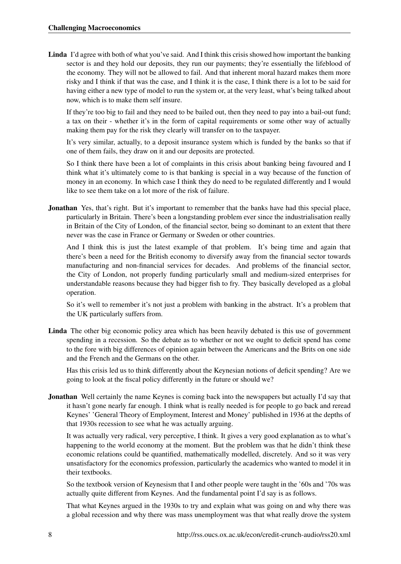Linda I'd agree with both of what you've said. And I think this crisis showed how important the banking sector is and they hold our deposits, they run our payments; they're essentially the lifeblood of the economy. They will not be allowed to fail. And that inherent moral hazard makes them more risky and I think if that was the case, and I think it is the case, I think there is a lot to be said for having either a new type of model to run the system or, at the very least, what's being talked about now, which is to make them self insure.

If they're too big to fail and they need to be bailed out, then they need to pay into a bail-out fund; a tax on their - whether it's in the form of capital requirements or some other way of actually making them pay for the risk they clearly will transfer on to the taxpayer.

It's very similar, actually, to a deposit insurance system which is funded by the banks so that if one of them fails, they draw on it and our deposits are protected.

So I think there have been a lot of complaints in this crisis about banking being favoured and I think what it's ultimately come to is that banking is special in a way because of the function of money in an economy. In which case I think they do need to be regulated differently and I would like to see them take on a lot more of the risk of failure.

Jonathan Yes, that's right. But it's important to remember that the banks have had this special place, particularly in Britain. There's been a longstanding problem ever since the industrialisation really in Britain of the City of London, of the financial sector, being so dominant to an extent that there never was the case in France or Germany or Sweden or other countries.

And I think this is just the latest example of that problem. It's being time and again that there's been a need for the British economy to diversify away from the financial sector towards manufacturing and non-financial services for decades. And problems of the financial sector, the City of London, not properly funding particularly small and medium-sized enterprises for understandable reasons because they had bigger fish to fry. They basically developed as a global operation.

So it's well to remember it's not just a problem with banking in the abstract. It's a problem that the UK particularly suffers from.

Linda The other big economic policy area which has been heavily debated is this use of government spending in a recession. So the debate as to whether or not we ought to deficit spend has come to the fore with big differences of opinion again between the Americans and the Brits on one side and the French and the Germans on the other.

Has this crisis led us to think differently about the Keynesian notions of deficit spending? Are we going to look at the fiscal policy differently in the future or should we?

Jonathan Well certainly the name Keynes is coming back into the newspapers but actually I'd say that it hasn't gone nearly far enough. I think what is really needed is for people to go back and reread Keynes' 'General Theory of Employment, Interest and Money' published in 1936 at the depths of that 1930s recession to see what he was actually arguing.

It was actually very radical, very perceptive, I think. It gives a very good explanation as to what's happening to the world economy at the moment. But the problem was that he didn't think these economic relations could be quantified, mathematically modelled, discretely. And so it was very unsatisfactory for the economics profession, particularly the academics who wanted to model it in their textbooks.

So the textbook version of Keynesism that I and other people were taught in the '60s and '70s was actually quite different from Keynes. And the fundamental point I'd say is as follows.

That what Keynes argued in the 1930s to try and explain what was going on and why there was a global recession and why there was mass unemployment was that what really drove the system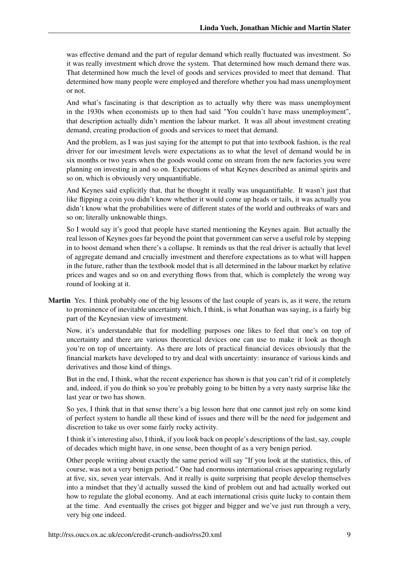was effective demand and the part of regular demand which really fluctuated was investment. So it was really investment which drove the system. That determined how much demand there was. That determined how much the level of goods and services provided to meet that demand. That determined how many people were employed and therefore whether you had mass unemployment or not.

And what's fascinating is that description as to actually why there was mass unemployment in the 1930s when economists up to then had said "You couldn't have mass unemployment", that description actually didn't mention the labour market. It was all about investment creating demand, creating production of goods and services to meet that demand.

And the problem, as I was just saying for the attempt to put that into textbook fashion, is the real driver for our investment levels were expectations as to what the level of demand would be in six months or two years when the goods would come on stream from the new factories you were planning on investing in and so on. Expectations of what Keynes described as animal spirits and so on, which is obviously very unquantifiable.

And Keynes said explicitly that, that he thought it really was unquantifiable. It wasn't just that like flipping a coin you didn't know whether it would come up heads or tails, it was actually you didn't know what the probabilities were of different states of the world and outbreaks of wars and so on; literally unknowable things.

So I would say it's good that people have started mentioning the Keynes again. But actually the real lesson of Keynes goes far beyond the point that government can serve a useful role by stepping in to boost demand when there's a collapse. It reminds us that the real driver is actually that level of aggregate demand and crucially investment and therefore expectations as to what will happen in the future, rather than the textbook model that is all determined in the labour market by relative prices and wages and so on and everything flows from that, which is completely the wrong way round of looking at it.

Martin Yes. I think probably one of the big lessons of the last couple of years is, as it were, the return to prominence of inevitable uncertainty which, I think, is what Jonathan was saying, is a fairly big part of the Keynesian view of investment.

Now, it's understandable that for modelling purposes one likes to feel that one's on top of uncertainty and there are various theoretical devices one can use to make it look as though you're on top of uncertainty. As there are lots of practical financial devices obviously that the financial markets have developed to try and deal with uncertainty: insurance of various kinds and derivatives and those kind of things.

But in the end, I think, what the recent experience has shown is that you can't rid of it completely and, indeed, if you do think so you're probably going to be bitten by a very nasty surprise like the last year or two has shown.

So yes, I think that in that sense there's a big lesson here that one cannot just rely on some kind of perfect system to handle all these kind of issues and there will be the need for judgement and discretion to take us over some fairly rocky activity.

I think it's interesting also, I think, if you look back on people's descriptions of the last, say, couple of decades which might have, in one sense, been thought of as a very benign period.

Other people writing about exactly the same period will say "If you look at the statistics, this, of course, was not a very benign period." One had enormous international crises appearing regularly at five, six, seven year intervals. And it really is quite surprising that people develop themselves into a mindset that they'd actually sussed the kind of problem out and had actually worked out how to regulate the global economy. And at each international crisis quite lucky to contain them at the time. And eventually the crises got bigger and bigger and we've just run through a very, very big one indeed.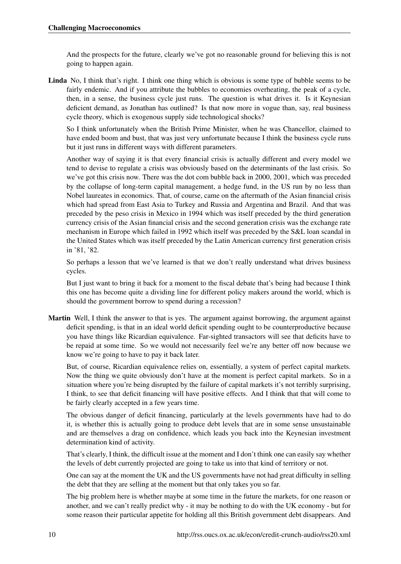And the prospects for the future, clearly we've got no reasonable ground for believing this is not going to happen again.

Linda No, I think that's right. I think one thing which is obvious is some type of bubble seems to be fairly endemic. And if you attribute the bubbles to economies overheating, the peak of a cycle, then, in a sense, the business cycle just runs. The question is what drives it. Is it Keynesian deficient demand, as Jonathan has outlined? Is that now more in vogue than, say, real business cycle theory, which is exogenous supply side technological shocks?

So I think unfortunately when the British Prime Minister, when he was Chancellor, claimed to have ended boom and bust, that was just very unfortunate because I think the business cycle runs but it just runs in different ways with different parameters.

Another way of saying it is that every financial crisis is actually different and every model we tend to devise to regulate a crisis was obviously based on the determinants of the last crisis. So we've got this crisis now. There was the dot com bubble back in 2000, 2001, which was preceded by the collapse of long-term capital management, a hedge fund, in the US run by no less than Nobel laureates in economics. That, of course, came on the aftermath of the Asian financial crisis which had spread from East Asia to Turkey and Russia and Argentina and Brazil. And that was preceded by the peso crisis in Mexico in 1994 which was itself preceded by the third generation currency crisis of the Asian financial crisis and the second generation crisis was the exchange rate mechanism in Europe which failed in 1992 which itself was preceded by the S&L loan scandal in the United States which was itself preceded by the Latin American currency first generation crisis in '81, '82.

So perhaps a lesson that we've learned is that we don't really understand what drives business cycles.

But I just want to bring it back for a moment to the fiscal debate that's being had because I think this one has become quite a dividing line for different policy makers around the world, which is should the government borrow to spend during a recession?

Martin Well, I think the answer to that is yes. The argument against borrowing, the argument against deficit spending, is that in an ideal world deficit spending ought to be counterproductive because you have things like Ricardian equivalence. Far-sighted transactors will see that deficits have to be repaid at some time. So we would not necessarily feel we're any better off now because we know we're going to have to pay it back later.

But, of course, Ricardian equivalence relies on, essentially, a system of perfect capital markets. Now the thing we quite obviously don't have at the moment is perfect capital markets. So in a situation where you're being disrupted by the failure of capital markets it's not terribly surprising, I think, to see that deficit financing will have positive effects. And I think that that will come to be fairly clearly accepted in a few years time.

The obvious danger of deficit financing, particularly at the levels governments have had to do it, is whether this is actually going to produce debt levels that are in some sense unsustainable and are themselves a drag on confidence, which leads you back into the Keynesian investment determination kind of activity.

That's clearly, I think, the difficult issue at the moment and I don't think one can easily say whether the levels of debt currently projected are going to take us into that kind of territory or not.

One can say at the moment the UK and the US governments have not had great difficulty in selling the debt that they are selling at the moment but that only takes you so far.

The big problem here is whether maybe at some time in the future the markets, for one reason or another, and we can't really predict why - it may be nothing to do with the UK economy - but for some reason their particular appetite for holding all this British government debt disappears. And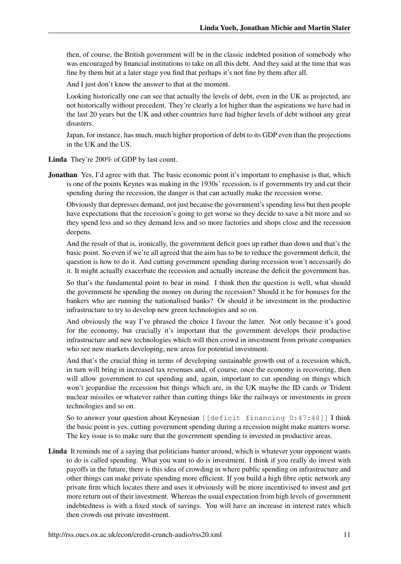then, of course, the British government will be in the classic indebted position of somebody who was encouraged by financial institutions to take on all this debt. And they said at the time that was fine by them but at a later stage you find that perhaps it's not fine by them after all.

And I just don't know the answer to that at the moment.

Looking historically one can see that actually the levels of debt, even in the UK as projected, are not historically without precedent. They're clearly a lot higher than the aspirations we have had in the last 20 years but the UK and other countries have had higher levels of debt without any great disasters.

Japan, for instance, has much, much higher proportion of debt to its GDP even than the projections in the UK and the US.

Linda They're 200% of GDP by last count.

**Jonathan** Yes, I'd agree with that. The basic economic point it's important to emphasise is that, which is one of the points Keynes was making in the 1930s' recession, is if governments try and cut their spending during the recession, the danger is that can actually make the recession worse.

Obviously that depresses demand, not just because the government's spending less but then people have expectations that the recession's going to get worse so they decide to save a bit more and so they spend less and so they demand less and so more factories and shops close and the recession deepens.

And the result of that is, ironically, the government deficit goes up rather than down and that's the basic point. So even if we're all agreed that the aim has to be to reduce the government deficit, the question is how to do it. And cutting government spending during recession won't necessarily do it. It might actually exacerbate the recession and actually increase the deficit the government has.

So that's the fundamental point to bear in mind. I think then the question is well, what should the government be spending the money on during the recession? Should it be for bonuses for the bankers who are running the nationalised banks? Or should it be investment in the productive infrastructure to try to develop new green technologies and so on.

And obviously the way I've phrased the choice I favour the latter. Not only because it's good for the economy, but crucially it's important that the government develops their productive infrastructure and new technologies which will then crowd in investment from private companies who see new markets developing, new areas for potential investment.

And that's the crucial thing in terms of developing sustainable growth out of a recession which, in turn will bring in increased tax revenues and, of course, once the economy is recovering, then will allow government to cut spending and, again, important to cut spending on things which won't jeopardise the recession but things which are, in the UK maybe the ID cards or Trident nuclear missiles or whatever rather than cutting things like the railways or investments in green technologies and so on.

So to answer your question about Keynesian [[deficit financing 0:47:48]] I think the basic point is yes, cutting government spending during a recession might make matters worse. The key issue is to make sure that the government spending is invested in productive areas.

Linda It reminds me of a saying that politicians banter around, which is whatever your opponent wants to do is called spending. What you want to do is investment. I think if you really do invest with payoffs in the future, there is this idea of crowding in where public spending on infrastructure and other things can make private spending more efficient. If you build a high fibre optic network any private firm which locates there and uses it obviously will be more incentivised to invest and get more return out of their investment. Whereas the usual expectation from high levels of government indebtedness is with a fixed stock of savings. You will have an increase in interest rates which then crowds out private investment.